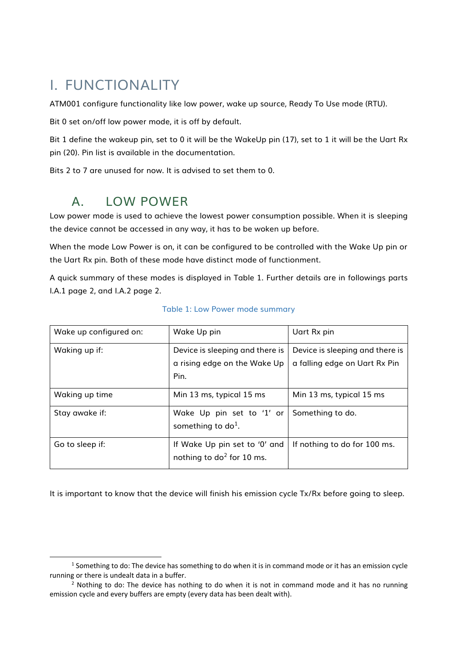# I. FUNCTIONALITY

ATM001 configure functionality like low power, wake up source, Ready To Use mode (RTU).

Bit 0 set on/off low power mode, it is off by default.

Bit 1 define the wakeup pin, set to 0 it will be the WakeUp pin (17), set to 1 it will be the Uart Rx pin (20). Pin list is available in the documentation.

Bits 2 to 7 are unused for now. It is advised to set them to 0.

## A. LOW POWER

l

Low power mode is used to achieve the lowest power consumption possible. When it is sleeping the device cannot be accessed in any way, it has to be woken up before.

When the mode Low Power is on, it can be configured to be controlled with the Wake Up pin or the Uart Rx pin. Both of these mode have distinct mode of functionment.

A quick summary of these modes is displayed in [Table 1.](#page-0-0) Further details are in followings parts [I.A.1](#page-1-0) page [2,](#page-1-0) and [I.A.2](#page-1-1) page [2.](#page-1-1)

<span id="page-0-0"></span>

| Wake up configured on: | Wake Up pin                                                   | Uart Rx pin                     |
|------------------------|---------------------------------------------------------------|---------------------------------|
| Waking up if:          | Device is sleeping and there is                               | Device is sleeping and there is |
|                        | a rising edge on the Wake Up                                  | a falling edge on Uart Rx Pin   |
|                        | Pin.                                                          |                                 |
| Waking up time         | Min 13 ms, typical 15 ms                                      | Min 13 ms, typical 15 ms        |
| Stay awake if:         | Wake Up pin set to '1' or<br>something to $do1$ .             | Something to do.                |
| Go to sleep if:        | If Wake Up pin set to '0' and<br>nothing to $do^2$ for 10 ms. | If nothing to do for 100 ms.    |

#### Table 1: Low Power mode summary

It is important to know that the device will finish his emission cycle Tx/Rx before going to sleep.

 $<sup>1</sup>$  Something to do: The device has something to do when it is in command mode or it has an emission cycle</sup> running or there is undealt data in a buffer.

<sup>&</sup>lt;sup>2</sup> Nothing to do: The device has nothing to do when it is not in command mode and it has no running emission cycle and every buffers are empty (every data has been dealt with).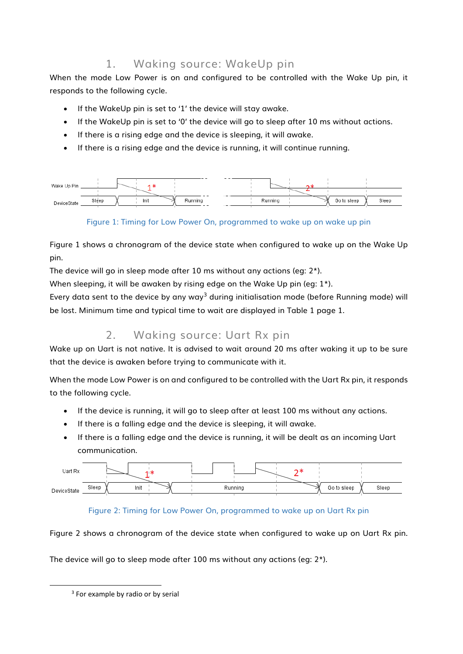## 1. Waking source: WakeUp pin

<span id="page-1-0"></span>When the mode Low Power is on and configured to be controlled with the Wake Up pin, it responds to the following cycle.

- If the WakeUp pin is set to '1' the device will stay awake.
- If the WakeUp pin is set to '0' the device will go to sleep after 10 ms without actions.
- If there is a rising edge and the device is sleeping, it will awake.
- If there is a rising edge and the device is running, it will continue running.

| Wake Up Pin |       |      |               |         |             |       |
|-------------|-------|------|---------------|---------|-------------|-------|
| DeviceState | Sleep | Init | Running<br>__ | Running | Go to sleep | Sleep |

### Figure 1: Timing for Low Power On, programmed to wake up on wake up pin

<span id="page-1-2"></span>[Figure 1](#page-1-2) shows a chronogram of the device state when configured to wake up on the Wake Up pin.

The device will go in sleep mode after 10 ms without any actions (eg: 2\*).

When sleeping, it will be awaken by rising edge on the Wake Up pin (eg: 1<sup>\*</sup>).

Every data sent to the device by any way<sup>3</sup> during initialisation mode (before Running mode) will be lost. Minimum time and typical time to wait are displayed in [Table 1](#page-0-0) page [1.](#page-0-0)

## 2. Waking source: Uart Rx pin

<span id="page-1-1"></span>Wake up on Uart is not native. It is advised to wait around 20 ms after waking it up to be sure that the device is awaken before trying to communicate with it.

When the mode Low Power is on and configured to be controlled with the Uart Rx pin, it responds to the following cycle.

- If the device is running, it will go to sleep after at least 100 ms without any actions.
- If there is a falling edge and the device is sleeping, it will awake.
- If there is a falling edge and the device is running, it will be dealt as an incoming Uart communication.

| Uart Rx     |       |      |         |             |       |
|-------------|-------|------|---------|-------------|-------|
| DeviceState | Sleep | Init | Running | Go to sleep | Sleep |

### Figure 2: Timing for Low Power On, programmed to wake up on Uart Rx pin

<span id="page-1-3"></span>[Figure 2](#page-1-3) shows a chronogram of the device state when configured to wake up on Uart Rx pin.

The device will go to sleep mode after 100 ms without any actions (eg: 2\*).

l

<sup>&</sup>lt;sup>3</sup> For example by radio or by serial